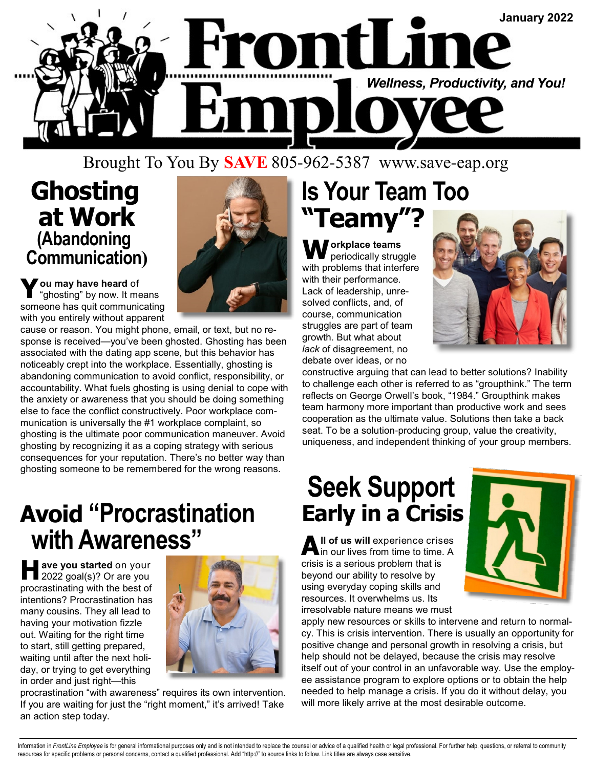

#### Brought To You By **SAVE** 805-962-5387 www.save-eap.org

#### **Ghosting at Work (Abandoning Communication)**



**Y ou may have heard** of "ghosting" by now. It means someone has quit communicating with you entirely without apparent

cause or reason. You might phone, email, or text, but no response is received—you've been ghosted. Ghosting has been associated with the dating app scene, but this behavior has noticeably crept into the workplace. Essentially, ghosting is abandoning communication to avoid conflict, responsibility, or accountability. What fuels ghosting is using denial to cope with the anxiety or awareness that you should be doing something else to face the conflict constructively. Poor workplace communication is universally the #1 workplace complaint, so ghosting is the ultimate poor communication maneuver. Avoid ghosting by recognizing it as a coping strategy with serious consequences for your reputation. There's no better way than ghosting someone to be remembered for the wrong reasons.

### **Avoid "Procrastination with Awareness"**

**H ave you started** on your 2022 goal(s)? Or are you procrastinating with the best of intentions? Procrastination has many cousins. They all lead to having your motivation fizzle out. Waiting for the right time to start, still getting prepared, waiting until after the next holiday, or trying to get everything in order and just right—this



procrastination "with awareness" requires its own intervention. If you are waiting for just the "right moment," it's arrived! Take an action step today.

## **Is Your Team Too "Teamy"?**

**W orkplace teams**  periodically struggle with problems that interfere with their performance. Lack of leadership, unresolved conflicts, and, of course, communication struggles are part of team growth. But what about *lack* of disagreement, no debate over ideas, or no



constructive arguing that can lead to better solutions? Inability to challenge each other is referred to as "groupthink." The term reflects on George Orwell's book, "1984." Groupthink makes team harmony more important than productive work and sees cooperation as the ultimate value. Solutions then take a back seat. To be a solution-producing group, value the creativity, uniqueness, and independent thinking of your group members.

# **Seek Support Early in a Crisis**

**A ll of us will** experience crises in our lives from time to time. A crisis is a serious problem that is beyond our ability to resolve by using everyday coping skills and resources. It overwhelms us. Its irresolvable nature means we must



apply new resources or skills to intervene and return to normalcy. This is crisis intervention. There is usually an opportunity for positive change and personal growth in resolving a crisis, but help should not be delayed, because the crisis may resolve itself out of your control in an unfavorable way. Use the employee assistance program to explore options or to obtain the help needed to help manage a crisis. If you do it without delay, you will more likely arrive at the most desirable outcome.

Information in FrontLine Employee is for general informational purposes only and is not intended to replace the counsel or advice of a qualified health or legal professional. For further help, questions, or referral to com resources for specific problems or personal concerns, contact a qualified professional. Add "http://" to source links to follow. Link titles are always case sensitive.